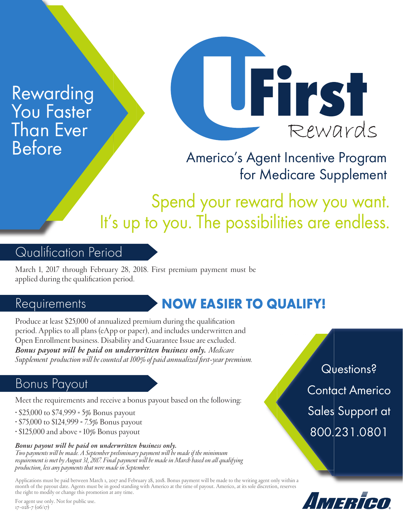Rewarding You Faster Than Ever Before



Americo's Agent Incentive Program for Medicare Supplement

Spend your reward how you want. It's up to you. The possibilities are endless.

## Qualification Period

March 1, 2017 through February 28, 2018. First premium payment must be applied during the qualification period.

### Requirements

# NOW EASIER TO QUALIFY!

Produce at least \$25,000 of annualized premium during the qualification period. Applies to all plans (eApp or paper), and includes underwritten and Open Enrollment business. Disability and Guarantee Issue are excluded. *Bonus payout will be paid on underwritten business only. Medicare*  Supplement production will be counted at 100% of paid annualized first-year premium.

## Bonus Payout

Meet the requirements and receive a bonus payout based on the following:

- \$25,000 to \$74,999 = 5% Bonus payout
- $\cdot$  \$75,000 to \$124,999 = 7.5% Bonus payout
- \$125,000 and above = 10% Bonus payout

#### *Bonus payout will be paid on underwritten business only.*

*Two payments will be made. A September preliminary payment will be made if the minimum requirement is met by August 31, 2017. Final payment will be made in March based on all qualifying production, less any payments that were made in September.*

Applications must be paid between March 1, 2017 and February 28, 2018. Bonus payment will be made to the writing agent only within a month of the payout date. Agents must be in good standing with Americo at the time of payout. Americo, at its sole discretion, reserves the right to modify or change this promotion at any time.

Questions? Contact Americo Sales Support at 800.231.0801



For agent use only. Not for public use. 17-028-7 (06/17)